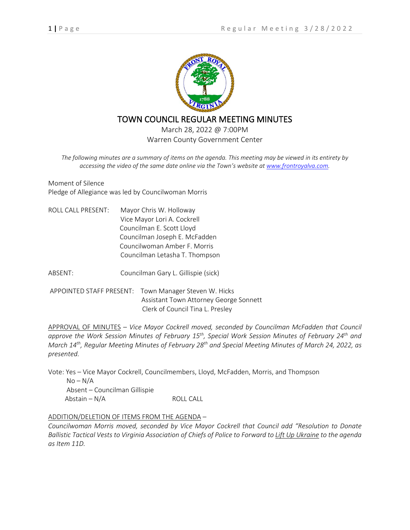

# TOWN COUNCIL REGULAR MEETING MINUTES

March 28, 2022 @ 7:00PM Warren County Government Center

*The following minutes are a summary of items on the agenda. This meeting may be viewed in its entirety by accessing the video of the same date online via the Town's website at [www.frontroyalva.com.](http://www.frontroyalva.com/)* 

Moment of Silence Pledge of Allegiance was led by Councilwoman Morris

ROLL CALL PRESENT: Mayor Chris W. Holloway Vice Mayor Lori A. Cockrell Councilman E. Scott Lloyd Councilman Joseph E. McFadden Councilwoman Amber F. Morris Councilman Letasha T. Thompson

ABSENT: Councilman Gary L. Gillispie (sick)

APPOINTED STAFF PRESENT: Town Manager Steven W. Hicks Assistant Town Attorney George Sonnett Clerk of Council Tina L. Presley

APPROVAL OF MINUTES – *Vice Mayor Cockrell moved, seconded by Councilman McFadden that Council approve the Work Session Minutes of February 15th, Special Work Session Minutes of February 24th and March 14th, Regular Meeting Minutes of February 28th and Special Meeting Minutes of March 24, 2022, as presented.*

Vote: Yes – Vice Mayor Cockrell, Councilmembers, Lloyd, McFadden, Morris, and Thompson  $No-N/A$ Absent – Councilman Gillispie

 $Abstain - N/A$  ROLL CALL

# ADDITION/DELETION OF ITEMS FROM THE AGENDA –

*Councilwoman Morris moved, seconded by Vice Mayor Cockrell that Council add "Resolution to Donate Ballistic Tactical Vests to Virginia Association of Chiefs of Police to Forward to Lift Up Ukraine to the agenda as Item 11D.*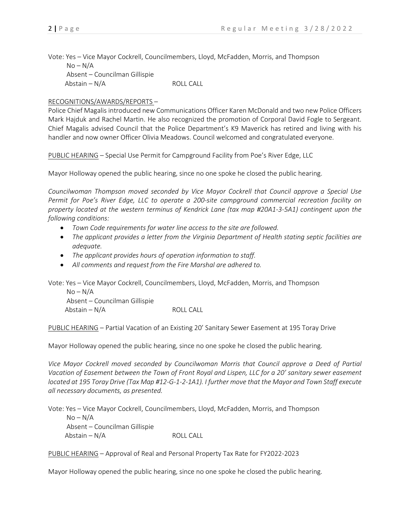Vote: Yes – Vice Mayor Cockrell, Councilmembers, Lloyd, McFadden, Morris, and Thompson  $No-N/A$  Absent – Councilman Gillispie  $Abstain - N/A$  ROLL CALL

### RECOGNITIONS/AWARDS/REPORTS –

Police Chief Magalis introduced new Communications Officer Karen McDonald and two new Police Officers Mark Hajduk and Rachel Martin. He also recognized the promotion of Corporal David Fogle to Sergeant. Chief Magalis advised Council that the Police Department's K9 Maverick has retired and living with his handler and now owner Officer Olivia Meadows. Council welcomed and congratulated everyone.

PUBLIC HEARING – Special Use Permit for Campground Facility from Poe's River Edge, LLC

Mayor Holloway opened the public hearing, since no one spoke he closed the public hearing.

*Councilwoman Thompson moved seconded by Vice Mayor Cockrell that Council approve a Special Use Permit for Poe's River Edge, LLC to operate a 200-site campground commercial recreation facility on property located at the western terminus of Kendrick Lane (tax map #20A1-3-5A1) contingent upon the following conditions:*

- *Town Code requirements for water line access to the site are followed.*
- *The applicant provides a letter from the Virginia Department of Health stating septic facilities are adequate.*
- *The applicant provides hours of operation information to staff.*
- *All comments and request from the Fire Marshal are adhered to.*

Vote: Yes – Vice Mayor Cockrell, Councilmembers, Lloyd, McFadden, Morris, and Thompson

 $No-N/A$  Absent – Councilman Gillispie  $Abstain - N/A$  ROLL CALL

PUBLIC HEARING – Partial Vacation of an Existing 20' Sanitary Sewer Easement at 195 Toray Drive

Mayor Holloway opened the public hearing, since no one spoke he closed the public hearing.

*Vice Mayor Cockrell moved seconded by Councilwoman Morris that Council approve a Deed of Partial Vacation of Easement between the Town of Front Royal and Lispen, LLC for a 20' sanitary sewer easement located at 195 Toray Drive (Tax Map #12-G-1-2-1A1). I further move that the Mayor and Town Staff execute all necessary documents, as presented.*

Vote: Yes – Vice Mayor Cockrell, Councilmembers, Lloyd, McFadden, Morris, and Thompson  $No-N/A$  Absent – Councilman Gillispie  $Abstain - N/A$  ROLL CALL

PUBLIC HEARING – Approval of Real and Personal Property Tax Rate for FY2022-2023

Mayor Holloway opened the public hearing, since no one spoke he closed the public hearing.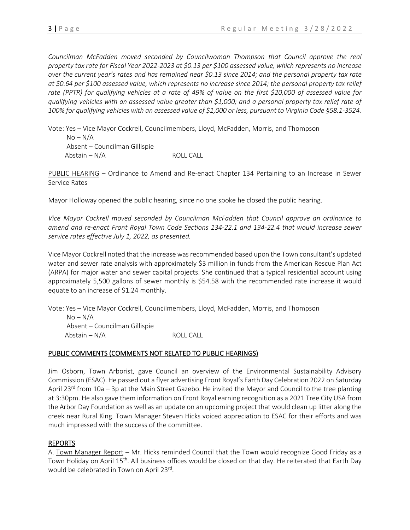*Councilman McFadden moved seconded by Councilwoman Thompson that Council approve the real property tax rate for Fiscal Year 2022-2023 at \$0.13 per \$100 assessed value, which represents no increase over the current year's rates and has remained near \$0.13 since 2014; and the personal property tax rate at \$0.64 per \$100 assessed value, which represents no increase since 2014; the personal property tax relief rate (PPTR) for qualifying vehicles at a rate of 49% of value on the first \$20,000 of assessed value for qualifying vehicles with an assessed value greater than \$1,000; and a personal property tax relief rate of 100% for qualifying vehicles with an assessed value of \$1,000 or less, pursuant to Virginia Code §58.1-3524.*

Vote: Yes – Vice Mayor Cockrell, Councilmembers, Lloyd, McFadden, Morris, and Thompson  $No-N/A$  Absent – Councilman Gillispie  $Abstain - N/A$  ROLL CALL

PUBLIC HEARING – Ordinance to Amend and Re-enact Chapter 134 Pertaining to an Increase in Sewer Service Rates

Mayor Holloway opened the public hearing, since no one spoke he closed the public hearing.

*Vice Mayor Cockrell moved seconded by Councilman McFadden that Council approve an ordinance to amend and re-enact Front Royal Town Code Sections 134-22.1 and 134-22.4 that would increase sewer service rates effective July 1, 2022, as presented.* 

Vice Mayor Cockrell noted that the increase was recommended based upon the Town consultant's updated water and sewer rate analysis with approximately \$3 million in funds from the American Rescue Plan Act (ARPA) for major water and sewer capital projects. She continued that a typical residential account using approximately 5,500 gallons of sewer monthly is \$54.58 with the recommended rate increase it would equate to an increase of \$1.24 monthly.

Vote: Yes – Vice Mayor Cockrell, Councilmembers, Lloyd, McFadden, Morris, and Thompson

 $No-N/A$  Absent – Councilman Gillispie  $Abstain - N/A$  ROLL CALL

# PUBLIC COMMENTS (COMMENTS NOT RELATED TO PUBLIC HEARINGS)

Jim Osborn, Town Arborist, gave Council an overview of the Environmental Sustainability Advisory Commission (ESAC). He passed out a flyer advertising Front Royal's Earth Day Celebration 2022 on Saturday April 23<sup>rd</sup> from 10a – 3p at the Main Street Gazebo. He invited the Mayor and Council to the tree planting at 3:30pm. He also gave them information on Front Royal earning recognition as a 2021 Tree City USA from the Arbor Day Foundation as well as an update on an upcoming project that would clean up litter along the creek near Rural King. Town Manager Steven Hicks voiced appreciation to ESAC for their efforts and was much impressed with the success of the committee.

# REPORTS

A. Town Manager Report – Mr. Hicks reminded Council that the Town would recognize Good Friday as a Town Holiday on April 15th. All business offices would be closed on that day. He reiterated that Earth Day would be celebrated in Town on April 23rd.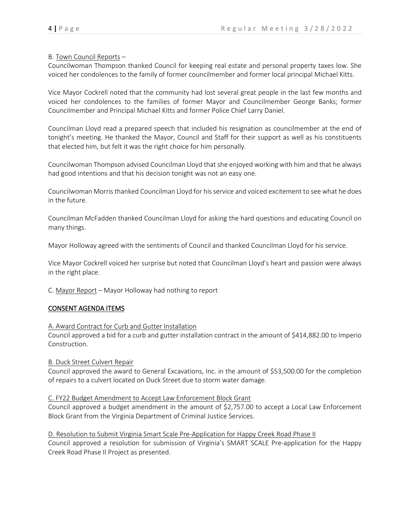#### B. Town Council Reports –

Councilwoman Thompson thanked Council for keeping real estate and personal property taxes low. She voiced her condolences to the family of former councilmember and former local principal Michael Kitts.

Vice Mayor Cockrell noted that the community had lost several great people in the last few months and voiced her condolences to the families of former Mayor and Councilmember George Banks; former Councilmember and Principal Michael Kitts and former Police Chief Larry Daniel.

Councilman Lloyd read a prepared speech that included his resignation as councilmember at the end of tonight's meeting. He thanked the Mayor, Council and Staff for their support as well as his constituents that elected him, but felt it was the right choice for him personally.

Councilwoman Thompson advised Councilman Lloyd that she enjoyed working with him and that he always had good intentions and that his decision tonight was not an easy one.

Councilwoman Morris thanked Councilman Lloyd for his service and voiced excitement to see what he does in the future.

Councilman McFadden thanked Councilman Lloyd for asking the hard questions and educating Council on many things.

Mayor Holloway agreed with the sentiments of Council and thanked Councilman Lloyd for his service.

Vice Mayor Cockrell voiced her surprise but noted that Councilman Lloyd's heart and passion were always in the right place.

C. Mayor Report – Mayor Holloway had nothing to report

### CONSENT AGENDA ITEMS

#### A. Award Contract for Curb and Gutter Installation

Council approved a bid for a curb and gutter installation contract in the amount of \$414,882.00 to Imperio Construction.

B. Duck Street Culvert Repair

Council approved the award to General Excavations, Inc. in the amount of \$53,500.00 for the completion of repairs to a culvert located on Duck Street due to storm water damage.

#### C. FY22 Budget Amendment to Accept Law Enforcement Block Grant

Council approved a budget amendment in the amount of \$2,757.00 to accept a Local Law Enforcement Block Grant from the Virginia Department of Criminal Justice Services.

D. Resolution to Submit Virginia Smart Scale Pre-Application for Happy Creek Road Phase II

Council approved a resolution for submission of Virginia's SMART SCALE Pre-application for the Happy Creek Road Phase II Project as presented.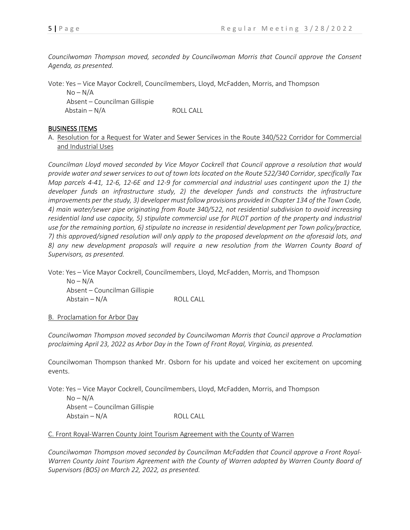*Councilwoman Thompson moved, seconded by Councilwoman Morris that Council approve the Consent Agenda, as presented.* 

Vote: Yes – Vice Mayor Cockrell, Councilmembers, Lloyd, McFadden, Morris, and Thompson

 $No-N/A$  Absent – Councilman Gillispie  $Abstain - N/A$  ROLL CALL

### BUSINESS ITEMS

A. Resolution for a Request for Water and Sewer Services in the Route 340/522 Corridor for Commercial and Industrial Uses

*Councilman Lloyd moved seconded by Vice Mayor Cockrell that Council approve a resolution that would provide water and sewer services to out of town lots located on the Route 522/340 Corridor, specifically Tax Map parcels 4-41, 12-6, 12-6E and 12-9 for commercial and industrial uses contingent upon the 1) the developer funds an infrastructure study, 2) the developer funds and constructs the infrastructure improvements per the study, 3) developer must follow provisions provided in Chapter 134 of the Town Code, 4) main water/sewer pipe originating from Route 340/522, not residential subdivision to avoid increasing residential land use capacity, 5) stipulate commercial use for PILOT portion of the property and industrial use for the remaining portion, 6) stipulate no increase in residential development per Town policy/practice, 7) this approved/signed resolution will only apply to the proposed development on the aforesaid lots, and 8) any new development proposals will require a new resolution from the Warren County Board of Supervisors, as presented.* 

Vote: Yes – Vice Mayor Cockrell, Councilmembers, Lloyd, McFadden, Morris, and Thompson

 $No-N/A$  Absent – Councilman Gillispie  $Abstain - N/A$  ROLL CALL

### B. Proclamation for Arbor Day

*Councilwoman Thompson moved seconded by Councilwoman Morris that Council approve a Proclamation proclaiming April 23, 2022 as Arbor Day in the Town of Front Royal, Virginia, as presented.*

Councilwoman Thompson thanked Mr. Osborn for his update and voiced her excitement on upcoming events.

Vote: Yes – Vice Mayor Cockrell, Councilmembers, Lloyd, McFadden, Morris, and Thompson  $No-N/A$  Absent – Councilman Gillispie  $Abstain - N/A$  ROLL CALL

# C. Front Royal-Warren County Joint Tourism Agreement with the County of Warren

*Councilwoman Thompson moved seconded by Councilman McFadden that Council approve a Front Royal-Warren County Joint Tourism Agreement with the County of Warren adopted by Warren County Board of Supervisors (BOS) on March 22, 2022, as presented.*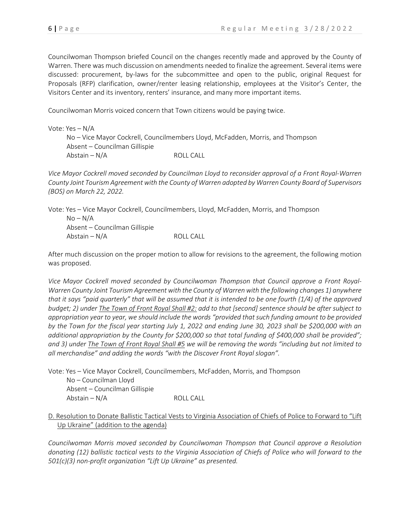Councilwoman Thompson briefed Council on the changes recently made and approved by the County of Warren. There was much discussion on amendments needed to finalize the agreement. Several items were discussed: procurement, by-laws for the subcommittee and open to the public, original Request for Proposals (RFP) clarification, owner/renter leasing relationship, employees at the Visitor's Center, the Visitors Center and its inventory, renters' insurance, and many more important items.

Councilwoman Morris voiced concern that Town citizens would be paying twice.

Vote: Yes – N/A No – Vice Mayor Cockrell, Councilmembers Lloyd, McFadden, Morris, and Thompson Absent – Councilman Gillispie  $Abstain - N/A$  ROLL CALL

*Vice Mayor Cockrell moved seconded by Councilman Lloyd to reconsider approval of a Front Royal-Warren County Joint Tourism Agreement with the County of Warren adopted by Warren County Board of Supervisors (BOS) on March 22, 2022.*

Vote: Yes – Vice Mayor Cockrell, Councilmembers, Lloyd, McFadden, Morris, and Thompson  $No-N/A$  Absent – Councilman Gillispie  $Abstain - N/A$  ROLL CALL

After much discussion on the proper motion to allow for revisions to the agreement, the following motion was proposed.

*Vice Mayor Cockrell moved seconded by Councilwoman Thompson that Council approve a Front Royal-Warren County Joint Tourism Agreement with the County of Warren with the following changes 1) anywhere that it says "paid quarterly" that will be assumed that it is intended to be one fourth (1/4) of the approved budget; 2) under The Town of Front Royal Shall #2: add to that [second] sentence should be after subject to appropriation year to year, we should include the words "provided that such funding amount to be provided by the Town for the fiscal year starting July 1, 2022 and ending June 30, 2023 shall be \$200,000 with an additional appropriation by the County for \$200,000 so that total funding of \$400,000 shall be provided"; and 3) under The Town of Front Royal Shall #5 we will be removing the words "including but not limited to all merchandise" and adding the words "with the Discover Front Royal slogan".*

Vote: Yes – Vice Mayor Cockrell, Councilmembers, McFadden, Morris, and Thompson No – Councilman Lloyd Absent – Councilman Gillispie  $Abstain - N/A$  ROLL CALL

# D. Resolution to Donate Ballistic Tactical Vests to Virginia Association of Chiefs of Police to Forward to "Lift Up Ukraine" (addition to the agenda)

*Councilwoman Morris moved seconded by Councilwoman Thompson that Council approve a Resolution donating (12) ballistic tactical vests to the Virginia Association of Chiefs of Police who will forward to the 501(c)(3) non-profit organization "Lift Up Ukraine" as presented.*